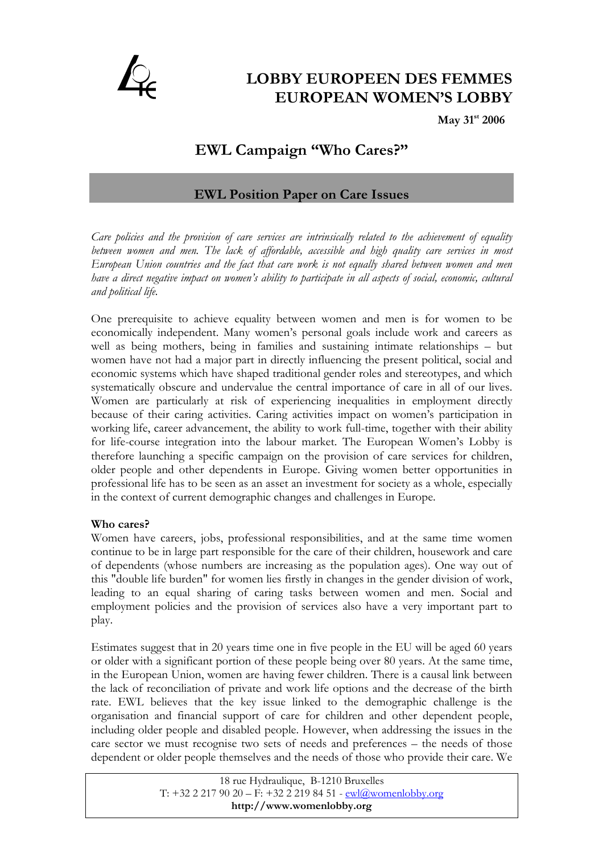

# **LOBBY EUROPEEN DES FEMMES EUROPEAN WOMEN'S LOBBY**

 **May 31st 2006** 

# **EWL Campaign "Who Cares?"**

# **EWL Position Paper on Care Issues**

*Care policies and the provision of care services are intrinsically related to the achievement of equality*  between women and men. The lack of affordable, accessible and high quality care services in most *European Union countries and the fact that care work is not equally shared between women and men have a direct negative impact on women's ability to participate in all aspects of social, economic, cultural and political life.* 

One prerequisite to achieve equality between women and men is for women to be economically independent. Many women's personal goals include work and careers as well as being mothers, being in families and sustaining intimate relationships – but women have not had a major part in directly influencing the present political, social and economic systems which have shaped traditional gender roles and stereotypes, and which systematically obscure and undervalue the central importance of care in all of our lives. Women are particularly at risk of experiencing inequalities in employment directly because of their caring activities. Caring activities impact on women's participation in working life, career advancement, the ability to work full-time, together with their ability for life-course integration into the labour market. The European Women's Lobby is therefore launching a specific campaign on the provision of care services for children, older people and other dependents in Europe. Giving women better opportunities in professional life has to be seen as an asset an investment for society as a whole, especially in the context of current demographic changes and challenges in Europe.

## **Who cares?**

Women have careers, jobs, professional responsibilities, and at the same time women continue to be in large part responsible for the care of their children, housework and care of dependents (whose numbers are increasing as the population ages). One way out of this "double life burden" for women lies firstly in changes in the gender division of work, leading to an equal sharing of caring tasks between women and men. Social and employment policies and the provision of services also have a very important part to play.

Estimates suggest that in 20 years time one in five people in the EU will be aged 60 years or older with a significant portion of these people being over 80 years. At the same time, in the European Union, women are having fewer children. There is a causal link between the lack of reconciliation of private and work life options and the decrease of the birth rate. EWL believes that the key issue linked to the demographic challenge is the organisation and financial support of care for children and other dependent people, including older people and disabled people. However, when addressing the issues in the care sector we must recognise two sets of needs and preferences – the needs of those dependent or older people themselves and the needs of those who provide their care. We

> 18 rue Hydraulique, B-1210 Bruxelles T:  $+32$  2 217 90 20 – F:  $+32$  2 219 84 51 -  $ewl@$ womenlobby.org **http://www.womenlobby.org**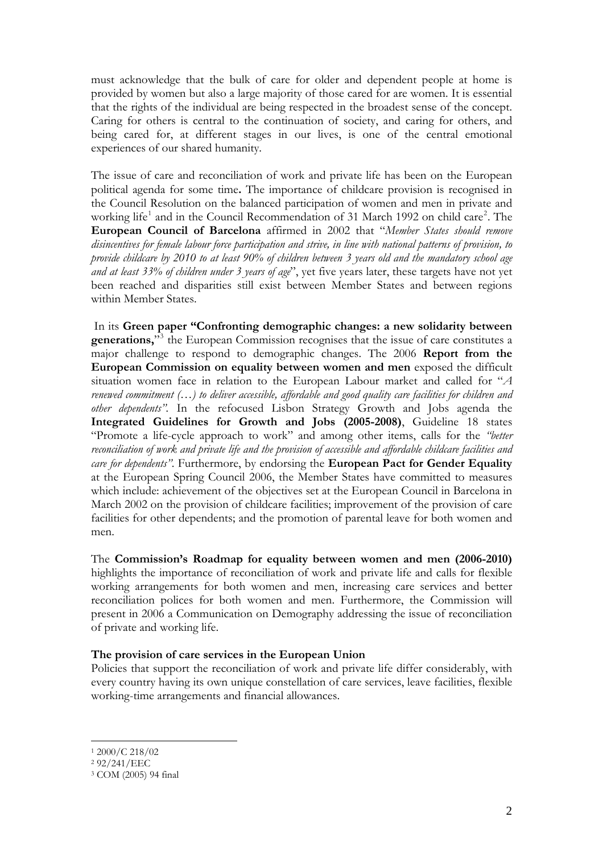must acknowledge that the bulk of care for older and dependent people at home is provided by women but also a large majority of those cared for are women. It is essential that the rights of the individual are being respected in the broadest sense of the concept. Caring for others is central to the continuation of society, and caring for others, and being cared for, at different stages in our lives, is one of the central emotional experiences of our shared humanity.

The issue of care and reconciliation of work and private life has been on the European political agenda for some time**.** The importance of childcare provision is recognised in the Council Resolution on the balanced participation of women and men in private and working life<sup>[1](#page-1-0)</sup> and in the Council Recommendation of 31 March 199[2](#page-1-1) on child care<sup>2</sup>. The **European Council of Barcelona** affirmed in 2002 that "*Member States should remove disincentives for female labour force participation and strive, in line with national patterns of provision, to provide childcare by 2010 to at least 90% of children between 3 years old and the mandatory school age and at least 33% of children under 3 years of age*", yet five years later, these targets have not yet been reached and disparities still exist between Member States and between regions within Member States.

 In its **Green paper "Confronting demographic changes: a new solidarity between**  generations,"<sup>[3](#page-1-2)</sup> the European Commission recognises that the issue of care constitutes a major challenge to respond to demographic changes. The 2006 **Report from the European Commission on equality between women and men** exposed the difficult situation women face in relation to the European Labour market and called for "*A renewed commitment (…) to deliver accessible, affordable and good quality care facilities for children and other dependents".* In the refocused Lisbon Strategy Growth and Jobs agenda the **Integrated Guidelines for Growth and Jobs (2005-2008)**, Guideline 18 states "Promote a life-cycle approach to work" and among other items, calls for the *"better reconciliation of work and private life and the provision of accessible and affordable childcare facilities and care for dependents"*. Furthermore, by endorsing the **European Pact for Gender Equality** at the European Spring Council 2006, the Member States have committed to measures which include: achievement of the objectives set at the European Council in Barcelona in March 2002 on the provision of childcare facilities; improvement of the provision of care facilities for other dependents; and the promotion of parental leave for both women and men.

The **Commission's Roadmap for equality between women and men (2006-2010)** highlights the importance of reconciliation of work and private life and calls for flexible working arrangements for both women and men, increasing care services and better reconciliation polices for both women and men. Furthermore, the Commission will present in 2006 a Communication on Demography addressing the issue of reconciliation of private and working life.

#### **The provision of care services in the European Union**

Policies that support the reconciliation of work and private life differ considerably, with every country having its own unique constellation of care services, leave facilities, flexible working-time arrangements and financial allowances.

 $\overline{a}$ 

<span id="page-1-0"></span><sup>1 2000/</sup>C 218/02

<span id="page-1-1"></span><sup>2 92/241/</sup>EEC

<span id="page-1-2"></span><sup>3</sup> COM (2005) 94 final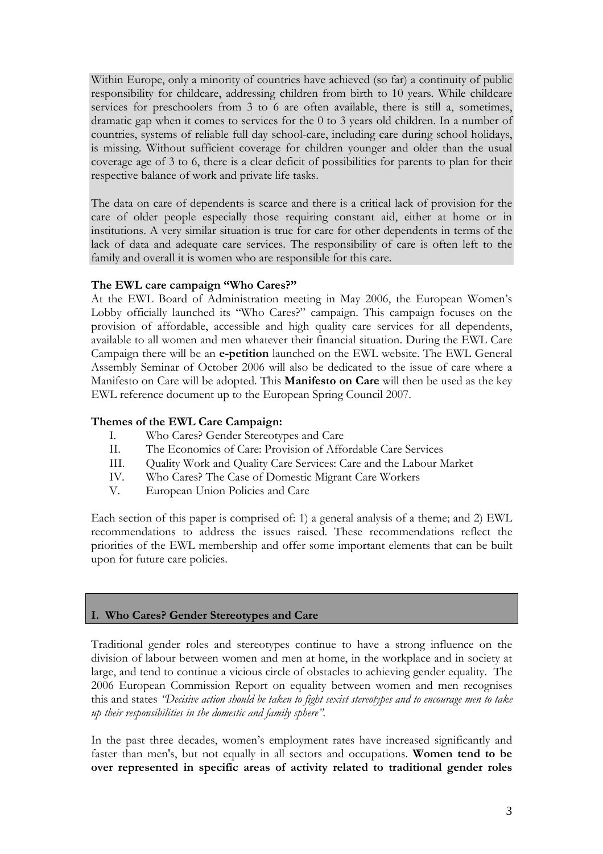Within Europe, only a minority of countries have achieved (so far) a continuity of public responsibility for childcare, addressing children from birth to 10 years. While childcare services for preschoolers from 3 to 6 are often available, there is still a, sometimes, dramatic gap when it comes to services for the 0 to 3 years old children. In a number of countries, systems of reliable full day school-care, including care during school holidays, is missing. Without sufficient coverage for children younger and older than the usual coverage age of 3 to 6, there is a clear deficit of possibilities for parents to plan for their respective balance of work and private life tasks.

The data on care of dependents is scarce and there is a critical lack of provision for the care of older people especially those requiring constant aid, either at home or in institutions. A very similar situation is true for care for other dependents in terms of the lack of data and adequate care services. The responsibility of care is often left to the family and overall it is women who are responsible for this care.

# **The EWL care campaign "Who Cares?"**

At the EWL Board of Administration meeting in May 2006, the European Women's Lobby officially launched its "Who Cares?" campaign. This campaign focuses on the provision of affordable, accessible and high quality care services for all dependents, available to all women and men whatever their financial situation. During the EWL Care Campaign there will be an **e-petition** launched on the EWL website. The EWL General Assembly Seminar of October 2006 will also be dedicated to the issue of care where a Manifesto on Care will be adopted. This **Manifesto on Care** will then be used as the key EWL reference document up to the European Spring Council 2007.

#### **Themes of the EWL Care Campaign:**

- I. Who Cares? Gender Stereotypes and Care
- II. The Economics of Care: Provision of Affordable Care Services
- III. Quality Work and Quality Care Services: Care and the Labour Market
- IV. Who Cares? The Case of Domestic Migrant Care Workers
- V. European Union Policies and Care

Each section of this paper is comprised of: 1) a general analysis of a theme; and 2) EWL recommendations to address the issues raised. These recommendations reflect the priorities of the EWL membership and offer some important elements that can be built upon for future care policies.

## **I. Who Cares? Gender Stereotypes and Care**

Traditional gender roles and stereotypes continue to have a strong influence on the division of labour between women and men at home, in the workplace and in society at large, and tend to continue a vicious circle of obstacles to achieving gender equality. The 2006 European Commission Report on equality between women and men recognises this and states *"Decisive action should be taken to fight sexist stereotypes and to encourage men to take up their responsibilities in the domestic and family sphere".*

In the past three decades, women's employment rates have increased significantly and faster than men's, but not equally in all sectors and occupations. **Women tend to be over represented in specific areas of activity related to traditional gender roles**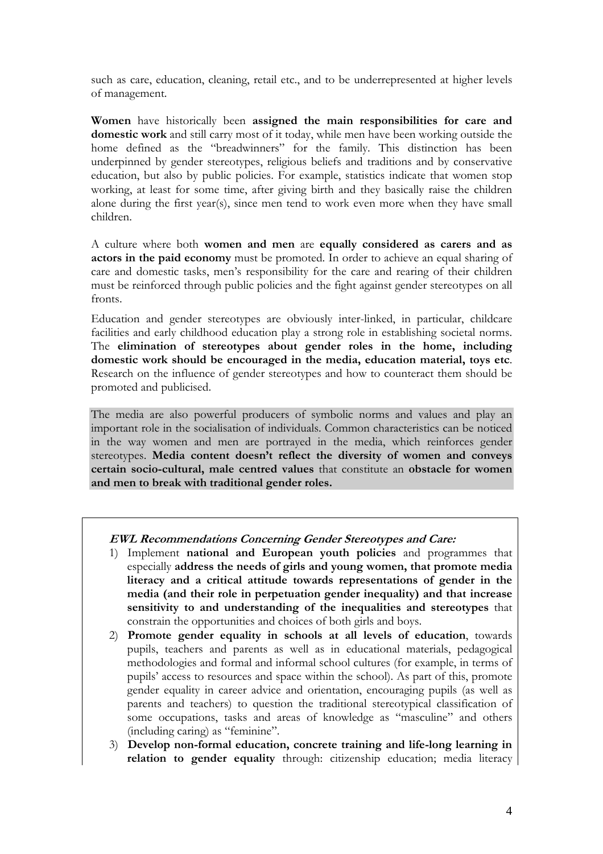such as care, education, cleaning, retail etc., and to be underrepresented at higher levels of management.

**Women** have historically been **assigned the main responsibilities for care and domestic work** and still carry most of it today, while men have been working outside the home defined as the "breadwinners" for the family. This distinction has been underpinned by gender stereotypes, religious beliefs and traditions and by conservative education, but also by public policies. For example, statistics indicate that women stop working, at least for some time, after giving birth and they basically raise the children alone during the first year(s), since men tend to work even more when they have small children.

A culture where both **women and men** are **equally considered as carers and as actors in the paid economy** must be promoted. In order to achieve an equal sharing of care and domestic tasks, men's responsibility for the care and rearing of their children must be reinforced through public policies and the fight against gender stereotypes on all fronts.

Education and gender stereotypes are obviously inter-linked, in particular, childcare facilities and early childhood education play a strong role in establishing societal norms. The **elimination of stereotypes about gender roles in the home, including domestic work should be encouraged in the media, education material, toys etc**. Research on the influence of gender stereotypes and how to counteract them should be promoted and publicised.

The media are also powerful producers of symbolic norms and values and play an important role in the socialisation of individuals. Common characteristics can be noticed in the way women and men are portrayed in the media, which reinforces gender stereotypes. **Media content doesn't reflect the diversity of women and conveys certain socio-cultural, male centred values** that constitute an **obstacle for women and men to break with traditional gender roles.** 

## **EWL Recommendations Concerning Gender Stereotypes and Care:**

- 1) Implement **national and European youth policies** and programmes that especially **address the needs of girls and young women, that promote media literacy and a critical attitude towards representations of gender in the media (and their role in perpetuation gender inequality) and that increase sensitivity to and understanding of the inequalities and stereotypes** that constrain the opportunities and choices of both girls and boys.
- 2) **Promote gender equality in schools at all levels of education**, towards pupils, teachers and parents as well as in educational materials, pedagogical methodologies and formal and informal school cultures (for example, in terms of pupils' access to resources and space within the school). As part of this, promote gender equality in career advice and orientation, encouraging pupils (as well as parents and teachers) to question the traditional stereotypical classification of some occupations, tasks and areas of knowledge as "masculine" and others (including caring) as "feminine".
- 3) **Develop non-formal education, concrete training and life-long learning in relation to gender equality** through: citizenship education; media literacy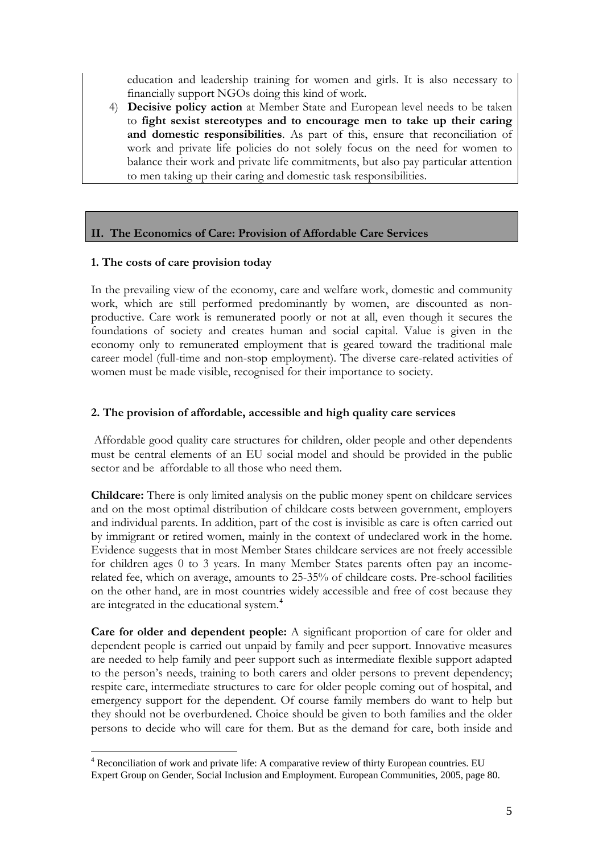education and leadership training for women and girls. It is also necessary to financially support NGOs doing this kind of work.

4) **Decisive policy action** at Member State and European level needs to be taken to **fight sexist stereotypes and to encourage men to take up their caring and domestic responsibilities**. As part of this, ensure that reconciliation of work and private life policies do not solely focus on the need for women to balance their work and private life commitments, but also pay particular attention to men taking up their caring and domestic task responsibilities.

## **II. The Economics of Care: Provision of Affordable Care Services**

#### **1. The costs of care provision today**

In the prevailing view of the economy, care and welfare work, domestic and community work, which are still performed predominantly by women, are discounted as nonproductive. Care work is remunerated poorly or not at all, even though it secures the foundations of society and creates human and social capital. Value is given in the economy only to remunerated employment that is geared toward the traditional male career model (full-time and non-stop employment). The diverse care-related activities of women must be made visible, recognised for their importance to society.

## **2. The provision of affordable, accessible and high quality care services**

 Affordable good quality care structures for children, older people and other dependents must be central elements of an EU social model and should be provided in the public sector and be affordable to all those who need them.

**Childcare:** There is only limited analysis on the public money spent on childcare services and on the most optimal distribution of childcare costs between government, employers and individual parents. In addition, part of the cost is invisible as care is often carried out by immigrant or retired women, mainly in the context of undeclared work in the home. Evidence suggests that in most Member States childcare services are not freely accessible for children ages 0 to 3 years. In many Member States parents often pay an incomerelated fee, which on average, amounts to 25-35% of childcare costs. Pre-school facilities on the other hand, are in most countries widely accessible and free of cost because they are integrated in the educational system.**[4](#page-4-0)**

**Care for older and dependent people:** A significant proportion of care for older and dependent people is carried out unpaid by family and peer support. Innovative measures are needed to help family and peer support such as intermediate flexible support adapted to the person's needs, training to both carers and older persons to prevent dependency; respite care, intermediate structures to care for older people coming out of hospital, and emergency support for the dependent. Of course family members do want to help but they should not be overburdened. Choice should be given to both families and the older persons to decide who will care for them. But as the demand for care, both inside and

<span id="page-4-0"></span> $\overline{a}$ <sup>4</sup> Reconciliation of work and private life: A comparative review of thirty European countries. EU Expert Group on Gender, Social Inclusion and Employment. European Communities, 2005, page 80.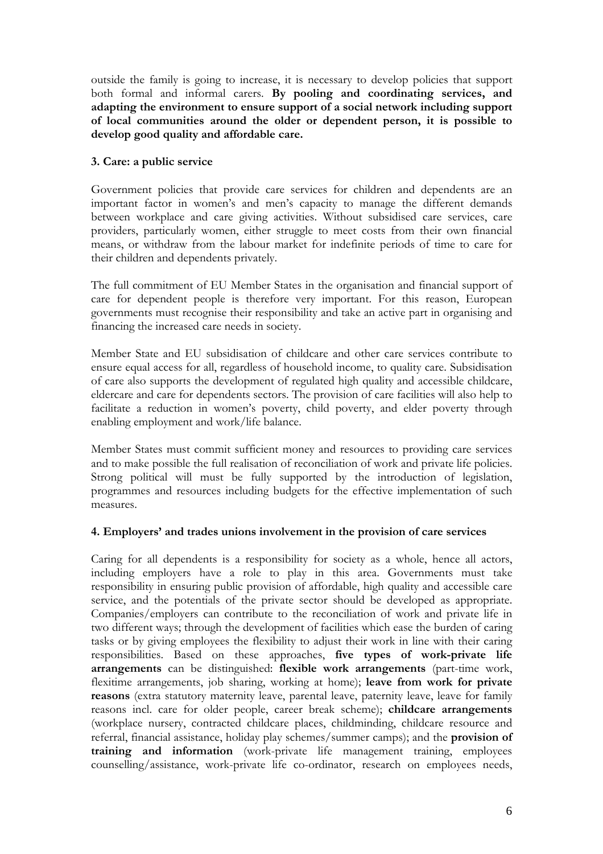outside the family is going to increase, it is necessary to develop policies that support both formal and informal carers. **By pooling and coordinating services, and adapting the environment to ensure support of a social network including support of local communities around the older or dependent person, it is possible to develop good quality and affordable care.** 

# **3. Care: a public service**

Government policies that provide care services for children and dependents are an important factor in women's and men's capacity to manage the different demands between workplace and care giving activities. Without subsidised care services, care providers, particularly women, either struggle to meet costs from their own financial means, or withdraw from the labour market for indefinite periods of time to care for their children and dependents privately.

The full commitment of EU Member States in the organisation and financial support of care for dependent people is therefore very important. For this reason, European governments must recognise their responsibility and take an active part in organising and financing the increased care needs in society.

Member State and EU subsidisation of childcare and other care services contribute to ensure equal access for all, regardless of household income, to quality care. Subsidisation of care also supports the development of regulated high quality and accessible childcare, eldercare and care for dependents sectors. The provision of care facilities will also help to facilitate a reduction in women's poverty, child poverty, and elder poverty through enabling employment and work/life balance.

Member States must commit sufficient money and resources to providing care services and to make possible the full realisation of reconciliation of work and private life policies. Strong political will must be fully supported by the introduction of legislation, programmes and resources including budgets for the effective implementation of such measures.

## **4. Employers' and trades unions involvement in the provision of care services**

Caring for all dependents is a responsibility for society as a whole, hence all actors, including employers have a role to play in this area. Governments must take responsibility in ensuring public provision of affordable, high quality and accessible care service, and the potentials of the private sector should be developed as appropriate. Companies/employers can contribute to the reconciliation of work and private life in two different ways; through the development of facilities which ease the burden of caring tasks or by giving employees the flexibility to adjust their work in line with their caring responsibilities. Based on these approaches, **five types of work-private life arrangements** can be distinguished: **flexible work arrangements** (part-time work, flexitime arrangements, job sharing, working at home); **leave from work for private reasons** (extra statutory maternity leave, parental leave, paternity leave, leave for family reasons incl. care for older people, career break scheme); **childcare arrangements** (workplace nursery, contracted childcare places, childminding, childcare resource and referral, financial assistance, holiday play schemes/summer camps); and the **provision of training and information** (work-private life management training, employees counselling/assistance, work-private life co-ordinator, research on employees needs,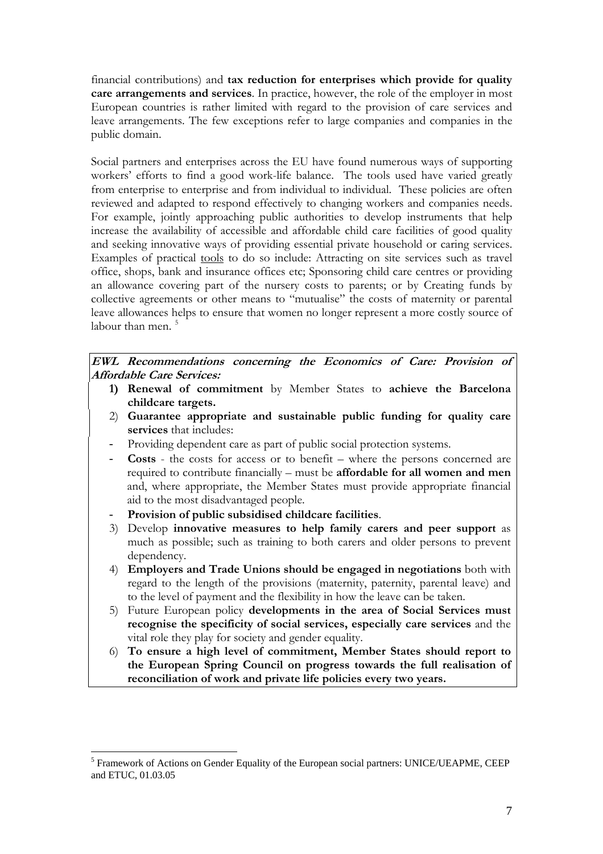financial contributions) and **tax reduction for enterprises which provide for quality care arrangements and services**. In practice, however, the role of the employer in most European countries is rather limited with regard to the provision of care services and leave arrangements. The few exceptions refer to large companies and companies in the public domain.

Social partners and enterprises across the EU have found numerous ways of supporting workers' efforts to find a good work-life balance. The tools used have varied greatly from enterprise to enterprise and from individual to individual. These policies are often reviewed and adapted to respond effectively to changing workers and companies needs. For example, jointly approaching public authorities to develop instruments that help increase the availability of accessible and affordable child care facilities of good quality and seeking innovative ways of providing essential private household or caring services. Examples of practical tools to do so include: Attracting on site services such as travel office, shops, bank and insurance offices etc; Sponsoring child care centres or providing an allowance covering part of the nursery costs to parents; or by Creating funds by collective agreements or other means to "mutualise" the costs of maternity or parental leave allowances helps to ensure that women no longer represent a more costly source of labour than men.<sup>[5](#page-6-0)</sup>

**EWL Recommendations concerning the Economics of Care: Provision of Affordable Care Services:** 

- **1) Renewal of commitment** by Member States to **achieve the Barcelona childcare targets.**
- 2) **Guarantee appropriate and sustainable public funding for quality care services** that includes:
- Providing dependent care as part of public social protection systems.
- **Costs** the costs for access or to benefit where the persons concerned are required to contribute financially – must be **affordable for all women and men** and, where appropriate, the Member States must provide appropriate financial aid to the most disadvantaged people.
- **Provision of public subsidised childcare facilities**.
- 3) Develop **innovative measures to help family carers and peer support** as much as possible; such as training to both carers and older persons to prevent dependency.
- 4) **Employers and Trade Unions should be engaged in negotiations** both with regard to the length of the provisions (maternity, paternity, parental leave) and to the level of payment and the flexibility in how the leave can be taken.
- 5) Future European policy **developments in the area of Social Services must recognise the specificity of social services, especially care services** and the vital role they play for society and gender equality.
- 6) **To ensure a high level of commitment, Member States should report to the European Spring Council on progress towards the full realisation of reconciliation of work and private life policies every two years.**

<span id="page-6-0"></span> $\overline{a}$ <sup>5</sup> Framework of Actions on Gender Equality of the European social partners: UNICE/UEAPME, CEEP and ETUC, 01.03.05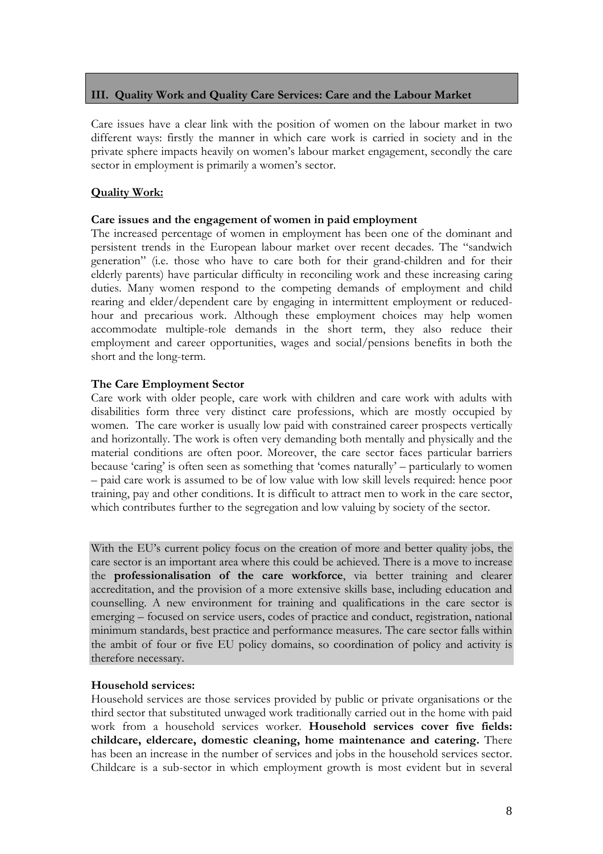# **III. Quality Work and Quality Care Services: Care and the Labour Market**

Care issues have a clear link with the position of women on the labour market in two different ways: firstly the manner in which care work is carried in society and in the private sphere impacts heavily on women's labour market engagement, secondly the care sector in employment is primarily a women's sector.

# **Quality Work:**

## **Care issues and the engagement of women in paid employment**

The increased percentage of women in employment has been one of the dominant and persistent trends in the European labour market over recent decades. The "sandwich generation" (i.e. those who have to care both for their grand-children and for their elderly parents) have particular difficulty in reconciling work and these increasing caring duties. Many women respond to the competing demands of employment and child rearing and elder/dependent care by engaging in intermittent employment or reducedhour and precarious work. Although these employment choices may help women accommodate multiple-role demands in the short term, they also reduce their employment and career opportunities, wages and social/pensions benefits in both the short and the long-term.

## **The Care Employment Sector**

Care work with older people, care work with children and care work with adults with disabilities form three very distinct care professions, which are mostly occupied by women. The care worker is usually low paid with constrained career prospects vertically and horizontally. The work is often very demanding both mentally and physically and the material conditions are often poor. Moreover, the care sector faces particular barriers because 'caring' is often seen as something that 'comes naturally' – particularly to women – paid care work is assumed to be of low value with low skill levels required: hence poor training, pay and other conditions. It is difficult to attract men to work in the care sector, which contributes further to the segregation and low valuing by society of the sector.

With the EU's current policy focus on the creation of more and better quality jobs, the care sector is an important area where this could be achieved. There is a move to increase the **professionalisation of the care workforce**, via better training and clearer accreditation, and the provision of a more extensive skills base, including education and counselling. A new environment for training and qualifications in the care sector is emerging – focused on service users, codes of practice and conduct, registration, national minimum standards, best practice and performance measures. The care sector falls within the ambit of four or five EU policy domains, so coordination of policy and activity is therefore necessary.

## **Household services:**

Household services are those services provided by public or private organisations or the third sector that substituted unwaged work traditionally carried out in the home with paid work from a household services worker. **Household services cover five fields: childcare, eldercare, domestic cleaning, home maintenance and catering.** There has been an increase in the number of services and jobs in the household services sector. Childcare is a sub-sector in which employment growth is most evident but in several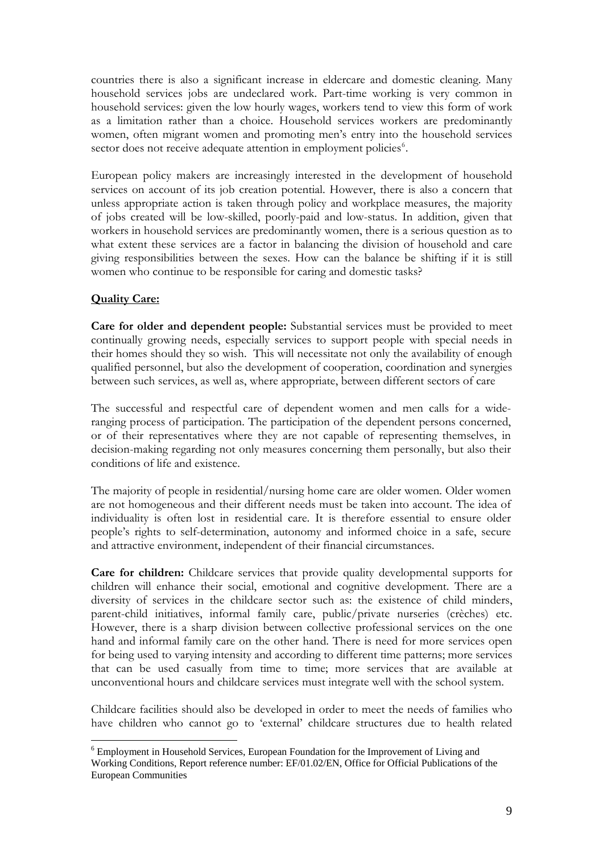countries there is also a significant increase in eldercare and domestic cleaning. Many household services jobs are undeclared work. Part-time working is very common in household services: given the low hourly wages, workers tend to view this form of work as a limitation rather than a choice. Household services workers are predominantly women, often migrant women and promoting men's entry into the household services sector does not receive adequate attention in employment policies<sup>[6](#page-8-0)</sup>.

European policy makers are increasingly interested in the development of household services on account of its job creation potential. However, there is also a concern that unless appropriate action is taken through policy and workplace measures, the majority of jobs created will be low-skilled, poorly-paid and low-status. In addition, given that workers in household services are predominantly women, there is a serious question as to what extent these services are a factor in balancing the division of household and care giving responsibilities between the sexes. How can the balance be shifting if it is still women who continue to be responsible for caring and domestic tasks?

# **Quality Care:**

 $\overline{a}$ 

**Care for older and dependent people:** Substantial services must be provided to meet continually growing needs, especially services to support people with special needs in their homes should they so wish. This will necessitate not only the availability of enough qualified personnel, but also the development of cooperation, coordination and synergies between such services, as well as, where appropriate, between different sectors of care

The successful and respectful care of dependent women and men calls for a wideranging process of participation. The participation of the dependent persons concerned, or of their representatives where they are not capable of representing themselves, in decision-making regarding not only measures concerning them personally, but also their conditions of life and existence.

The majority of people in residential/nursing home care are older women. Older women are not homogeneous and their different needs must be taken into account. The idea of individuality is often lost in residential care. It is therefore essential to ensure older people's rights to self-determination, autonomy and informed choice in a safe, secure and attractive environment, independent of their financial circumstances.

**Care for children:** Childcare services that provide quality developmental supports for children will enhance their social, emotional and cognitive development. There are a diversity of services in the childcare sector such as: the existence of child minders, parent-child initiatives, informal family care, public/private nurseries (crèches) etc. However, there is a sharp division between collective professional services on the one hand and informal family care on the other hand. There is need for more services open for being used to varying intensity and according to different time patterns; more services that can be used casually from time to time; more services that are available at unconventional hours and childcare services must integrate well with the school system.

Childcare facilities should also be developed in order to meet the needs of families who have children who cannot go to 'external' childcare structures due to health related

<span id="page-8-0"></span><sup>&</sup>lt;sup>6</sup> Employment in Household Services, European Foundation for the Improvement of Living and Working Conditions, Report reference number: EF/01.02/EN, Office for Official Publications of the European Communities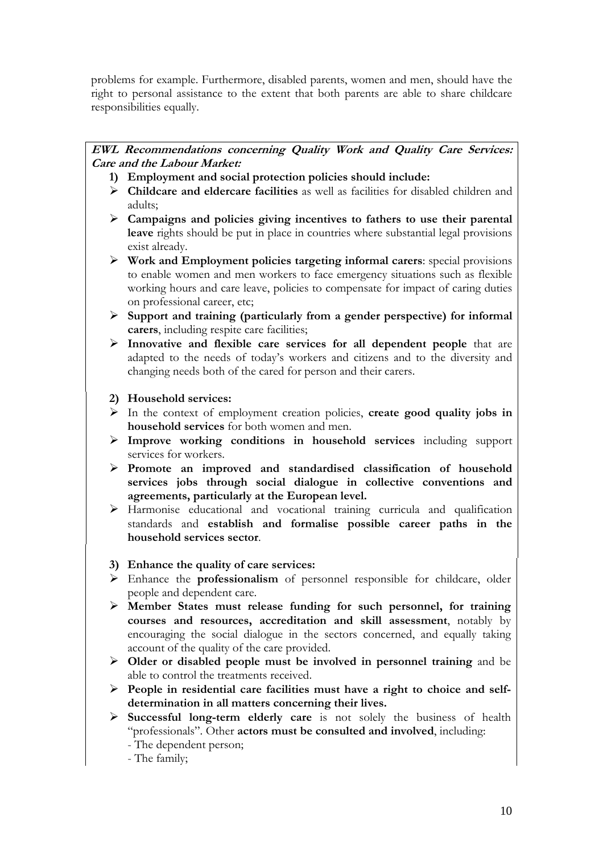problems for example. Furthermore, disabled parents, women and men, should have the right to personal assistance to the extent that both parents are able to share childcare responsibilities equally.

# **EWL Recommendations concerning Quality Work and Quality Care Services: Care and the Labour Market:**

- **1) Employment and social protection policies should include:**
- ¾ **Childcare and eldercare facilities** as well as facilities for disabled children and adults;
- ¾ **Campaigns and policies giving incentives to fathers to use their parental leave** rights should be put in place in countries where substantial legal provisions exist already.
- ¾ **Work and Employment policies targeting informal carers**: special provisions to enable women and men workers to face emergency situations such as flexible working hours and care leave, policies to compensate for impact of caring duties on professional career, etc;
- ¾ **Support and training (particularly from a gender perspective) for informal carers**, including respite care facilities;
- ¾ **Innovative and flexible care services for all dependent people** that are adapted to the needs of today's workers and citizens and to the diversity and changing needs both of the cared for person and their carers.
- **2) Household services:**
- ¾ In the context of employment creation policies, **create good quality jobs in household services** for both women and men.
- ¾ **Improve working conditions in household services** including support services for workers.
- ¾ **Promote an improved and standardised classification of household services jobs through social dialogue in collective conventions and agreements, particularly at the European level.**
- ¾ Harmonise educational and vocational training curricula and qualification standards and **establish and formalise possible career paths in the household services sector**.
- **3) Enhance the quality of care services:**
- ¾ Enhance the **professionalism** of personnel responsible for childcare, older people and dependent care.
- ¾ **Member States must release funding for such personnel, for training courses and resources, accreditation and skill assessment**, notably by encouraging the social dialogue in the sectors concerned, and equally taking account of the quality of the care provided.
- ¾ **Older or disabled people must be involved in personnel training** and be able to control the treatments received.
- ¾ **People in residential care facilities must have a right to choice and selfdetermination in all matters concerning their lives.**
- ¾ **Successful long-term elderly care** is not solely the business of health "professionals". Other **actors must be consulted and involved**, including:
	- The dependent person;
	- The family;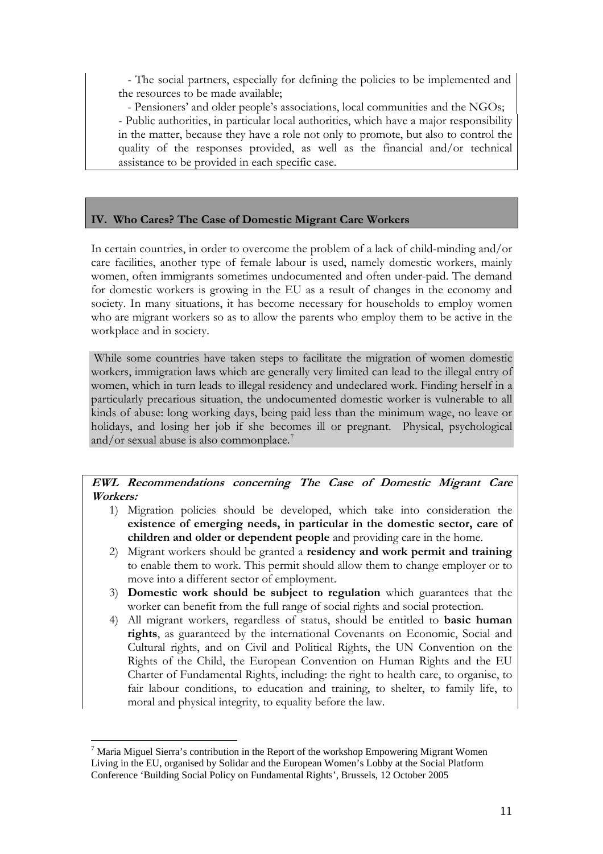- The social partners, especially for defining the policies to be implemented and the resources to be made available;

- Pensioners' and older people's associations, local communities and the NGOs; - Public authorities, in particular local authorities, which have a major responsibility in the matter, because they have a role not only to promote, but also to control the quality of the responses provided, as well as the financial and/or technical assistance to be provided in each specific case.

# **IV. Who Cares? The Case of Domestic Migrant Care Workers**

In certain countries, in order to overcome the problem of a lack of child-minding and/or care facilities, another type of female labour is used, namely domestic workers, mainly women, often immigrants sometimes undocumented and often under-paid. The demand for domestic workers is growing in the EU as a result of changes in the economy and society. In many situations, it has become necessary for households to employ women who are migrant workers so as to allow the parents who employ them to be active in the workplace and in society.

 While some countries have taken steps to facilitate the migration of women domestic workers, immigration laws which are generally very limited can lead to the illegal entry of women, which in turn leads to illegal residency and undeclared work. Finding herself in a particularly precarious situation, the undocumented domestic worker is vulnerable to all kinds of abuse: long working days, being paid less than the minimum wage, no leave or holidays, and losing her job if she becomes ill or pregnant. Physical, psychological and/or sexual abuse is also commonplace.<sup>[7](#page-10-0)</sup>

**EWL Recommendations concerning The Case of Domestic Migrant Care Workers:** 

- 1) Migration policies should be developed, which take into consideration the **existence of emerging needs, in particular in the domestic sector, care of children and older or dependent people** and providing care in the home.
- 2) Migrant workers should be granted a **residency and work permit and training** to enable them to work. This permit should allow them to change employer or to move into a different sector of employment.
- 3) **Domestic work should be subject to regulation** which guarantees that the worker can benefit from the full range of social rights and social protection.
- 4) All migrant workers, regardless of status, should be entitled to **basic human rights**, as guaranteed by the international Covenants on Economic, Social and Cultural rights, and on Civil and Political Rights, the UN Convention on the Rights of the Child, the European Convention on Human Rights and the EU Charter of Fundamental Rights, including: the right to health care, to organise, to fair labour conditions, to education and training, to shelter, to family life, to moral and physical integrity, to equality before the law.

 $\overline{a}$ 

<span id="page-10-0"></span> $<sup>7</sup>$  Maria Miguel Sierra's contribution in the Report of the workshop Empowering Migrant Women</sup> Living in the EU, organised by Solidar and the European Women's Lobby at the Social Platform Conference 'Building Social Policy on Fundamental Rights', Brussels, 12 October 2005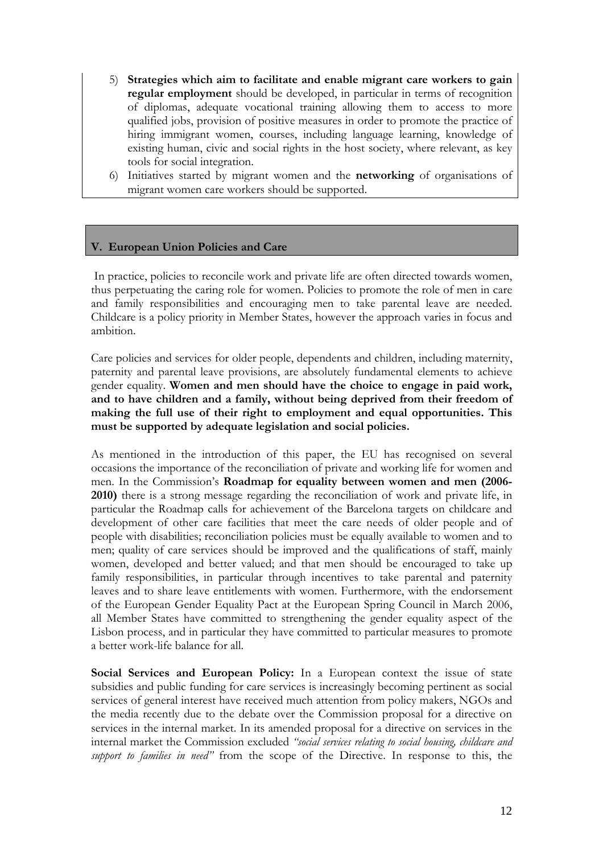- 5) **Strategies which aim to facilitate and enable migrant care workers to gain regular employment** should be developed, in particular in terms of recognition of diplomas, adequate vocational training allowing them to access to more qualified jobs, provision of positive measures in order to promote the practice of hiring immigrant women, courses, including language learning, knowledge of existing human, civic and social rights in the host society, where relevant, as key tools for social integration.
- 6) Initiatives started by migrant women and the **networking** of organisations of migrant women care workers should be supported.

## **V. European Union Policies and Care**

 In practice, policies to reconcile work and private life are often directed towards women, thus perpetuating the caring role for women. Policies to promote the role of men in care and family responsibilities and encouraging men to take parental leave are needed. Childcare is a policy priority in Member States, however the approach varies in focus and ambition.

Care policies and services for older people, dependents and children, including maternity, paternity and parental leave provisions, are absolutely fundamental elements to achieve gender equality. **Women and men should have the choice to engage in paid work, and to have children and a family, without being deprived from their freedom of making the full use of their right to employment and equal opportunities. This must be supported by adequate legislation and social policies.** 

As mentioned in the introduction of this paper, the EU has recognised on several occasions the importance of the reconciliation of private and working life for women and men. In the Commission's **Roadmap for equality between women and men (2006- 2010)** there is a strong message regarding the reconciliation of work and private life, in particular the Roadmap calls for achievement of the Barcelona targets on childcare and development of other care facilities that meet the care needs of older people and of people with disabilities; reconciliation policies must be equally available to women and to men; quality of care services should be improved and the qualifications of staff, mainly women, developed and better valued; and that men should be encouraged to take up family responsibilities, in particular through incentives to take parental and paternity leaves and to share leave entitlements with women. Furthermore, with the endorsement of the European Gender Equality Pact at the European Spring Council in March 2006, all Member States have committed to strengthening the gender equality aspect of the Lisbon process, and in particular they have committed to particular measures to promote a better work-life balance for all.

**Social Services and European Policy:** In a European context the issue of state subsidies and public funding for care services is increasingly becoming pertinent as social services of general interest have received much attention from policy makers, NGOs and the media recently due to the debate over the Commission proposal for a directive on services in the internal market. In its amended proposal for a directive on services in the internal market the Commission excluded *"social services relating to social housing, childcare and support to families in need"* from the scope of the Directive. In response to this, the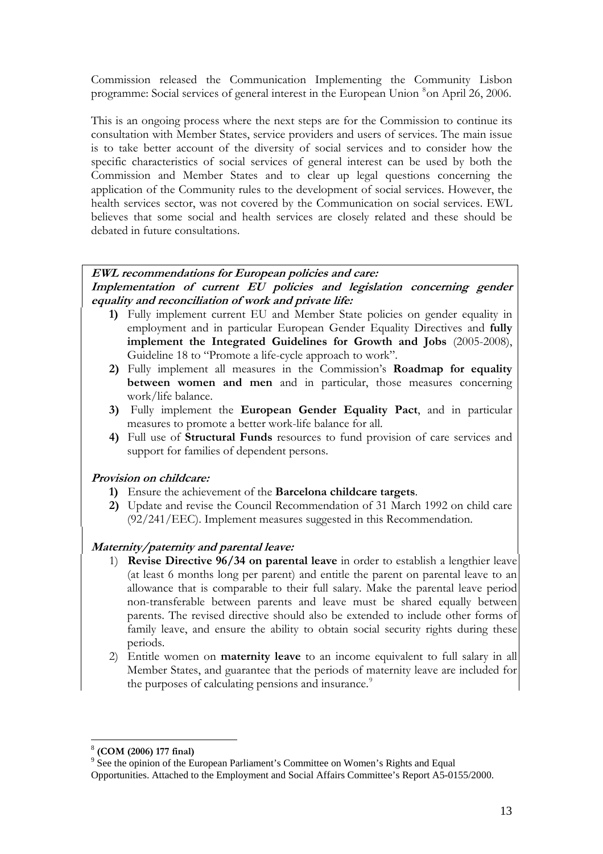Commission released the Communication Implementing the Community Lisbon programme: Social services of general interest in the European Union  $^8$  $^8$ on April 26, 2006.

This is an ongoing process where the next steps are for the Commission to continue its consultation with Member States, service providers and users of services. The main issue is to take better account of the diversity of social services and to consider how the specific characteristics of social services of general interest can be used by both the Commission and Member States and to clear up legal questions concerning the application of the Community rules to the development of social services. However, the health services sector, was not covered by the Communication on social services. EWL believes that some social and health services are closely related and these should be debated in future consultations.

# **EWL recommendations for European policies and care:**

**Implementation of current EU policies and legislation concerning gender equality and reconciliation of work and private life:** 

- **1)** Fully implement current EU and Member State policies on gender equality in employment and in particular European Gender Equality Directives and **fully implement the Integrated Guidelines for Growth and Jobs** (2005-2008), Guideline 18 to "Promote a life-cycle approach to work".
- **2)** Fully implement all measures in the Commission's **Roadmap for equality between women and men** and in particular, those measures concerning work/life balance.
- **3)** Fully implement the **European Gender Equality Pact**, and in particular measures to promote a better work-life balance for all.
- **4)** Full use of **Structural Funds** resources to fund provision of care services and support for families of dependent persons.

## **Provision on childcare:**

- **1)** Ensure the achievement of the **Barcelona childcare targets**.
- **2)** Update and revise the Council Recommendation of 31 March 1992 on child care (92/241/EEC). Implement measures suggested in this Recommendation.

# **Maternity/paternity and parental leave:**

- 1) **Revise Directive 96/34 on parental leave** in order to establish a lengthier leave (at least 6 months long per parent) and entitle the parent on parental leave to an allowance that is comparable to their full salary. Make the parental leave period non-transferable between parents and leave must be shared equally between parents. The revised directive should also be extended to include other forms of family leave, and ensure the ability to obtain social security rights during these periods.
- 2) Entitle women on **maternity leave** to an income equivalent to full salary in all Member States, and guarantee that the periods of maternity leave are included for the purposes of calculating pensions and insurance.<sup>[9](#page-12-1)</sup>

 $\overline{a}$ 

<span id="page-12-0"></span><sup>8</sup> **(COM (2006) 177 final)**

<sup>&</sup>lt;sup>9</sup> See the opinion of the European Parliament's Committee on Women's Rights and Equal

<span id="page-12-1"></span>Opportunities. Attached to the Employment and Social Affairs Committee's Report A5-0155/2000.